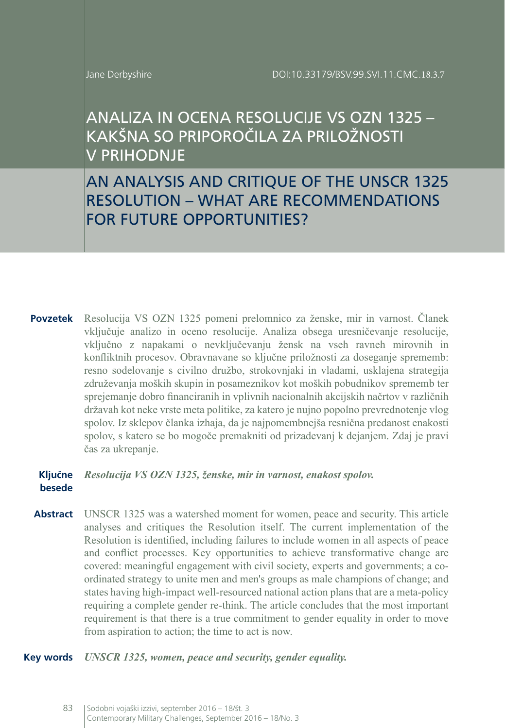# ANALIZA IN OCENA RESOLUCIJE VS OZN 1325 – KAKŠNA SO PRIPOROČILA ZA PRILOŽNOSTI V PRIHODNJE

AN ANALYSIS AND CRITIQUE OF THE UNSCR 1325 RESOLUTION – WHAT ARE RECOMMENDATIONS FOR FUTURE OPPORTUNITIES?

**Povzetek** Resolucija VS OZN 1325 pomeni prelomnico za ženske, mir in varnost. Članek vključuje analizo in oceno resolucije. Analiza obsega uresničevanje resolucije, vključno z napakami o nevključevanju žensk na vseh ravneh mirovnih in konfliktnih procesov. Obravnavane so ključne priložnosti za doseganje sprememb: resno sodelovanje s civilno družbo, strokovnjaki in vladami, usklajena strategija združevanja moških skupin in posameznikov kot moških pobudnikov sprememb ter sprejemanje dobro financiranih in vplivnih nacionalnih akcijskih načrtov v različnih državah kot neke vrste meta politike, za katero je nujno popolno prevrednotenje vlog spolov. Iz sklepov članka izhaja, da je najpomembnejša resnična predanost enakosti spolov, s katero se bo mogoče premakniti od prizadevanj k dejanjem. Zdaj je pravi čas za ukrepanje.

# **Ključne**  *Resolucija VS OZN 1325, ženske, mir in varnost, enakost spolov.* **besede**

**Abstract** UNSCR 1325 was a watershed moment for women, peace and security. This article analyses and critiques the Resolution itself. The current implementation of the Resolution is identified, including failures to include women in all aspects of peace and conflict processes. Key opportunities to achieve transformative change are covered: meaningful engagement with civil society, experts and governments; a coordinated strategy to unite men and men's groups as male champions of change; and states having high-impact well-resourced national action plans that are a meta-policy requiring a complete gender re-think. The article concludes that the most important requirement is that there is a true commitment to gender equality in order to move from aspiration to action; the time to act is now.

#### **Key words** *UNSCR 1325, women, peace and security, gender equality.*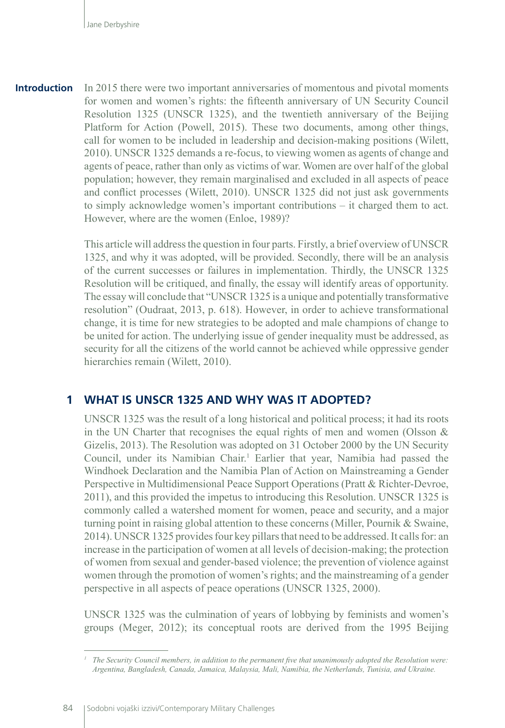In 2015 there were two important anniversaries of momentous and pivotal moments for women and women's rights: the fifteenth anniversary of UN Security Council Resolution 1325 (UNSCR 1325), and the twentieth anniversary of the Beijing Platform for Action (Powell, 2015). These two documents, among other things, call for women to be included in leadership and decision-making positions (Wilett, 2010). UNSCR 1325 demands a re-focus, to viewing women as agents of change and agents of peace, rather than only as victims of war. Women are over half of the global population; however, they remain marginalised and excluded in all aspects of peace and conflict processes (Wilett, 2010). UNSCR 1325 did not just ask governments to simply acknowledge women's important contributions – it charged them to act. However, where are the women (Enloe, 1989)? **Introduction**

> This article will address the question in four parts. Firstly, a brief overview of UNSCR 1325, and why it was adopted, will be provided. Secondly, there will be an analysis of the current successes or failures in implementation. Thirdly, the UNSCR 1325 Resolution will be critiqued, and finally, the essay will identify areas of opportunity. The essay will conclude that "UNSCR 1325 is a unique and potentially transformative resolution" (Oudraat, 2013, p. 618). However, in order to achieve transformational change, it is time for new strategies to be adopted and male champions of change to be united for action. The underlying issue of gender inequality must be addressed, as security for all the citizens of the world cannot be achieved while oppressive gender hierarchies remain (Wilett, 2010).

## **1 WHAT IS UNSCR 1325 AND WHY WAS IT ADOPTED?**

UNSCR 1325 was the result of a long historical and political process; it had its roots in the UN Charter that recognises the equal rights of men and women (Olsson  $\&$ Gizelis, 2013). The Resolution was adopted on 31 October 2000 by the UN Security Council, under its Namibian Chair.<sup>1</sup> Earlier that year, Namibia had passed the Windhoek Declaration and the Namibia Plan of Action on Mainstreaming a Gender Perspective in Multidimensional Peace Support Operations (Pratt & Richter-Devroe, 2011), and this provided the impetus to introducing this Resolution. UNSCR 1325 is commonly called a watershed moment for women, peace and security, and a major turning point in raising global attention to these concerns (Miller, Pournik & Swaine, 2014). UNSCR 1325 provides four key pillars that need to be addressed. It calls for: an increase in the participation of women at all levels of decision-making; the protection of women from sexual and gender-based violence; the prevention of violence against women through the promotion of women's rights; and the mainstreaming of a gender perspective in all aspects of peace operations (UNSCR 1325, 2000).

UNSCR 1325 was the culmination of years of lobbying by feminists and women's groups (Meger, 2012); its conceptual roots are derived from the 1995 Beijing

*<sup>1</sup> The Security Council members, in addition to the permanent five that unanimously adopted the Resolution were: Argentina, Bangladesh, Canada, Jamaica, Malaysia, Mali, Namibia, the Netherlands, Tunisia, and Ukraine.*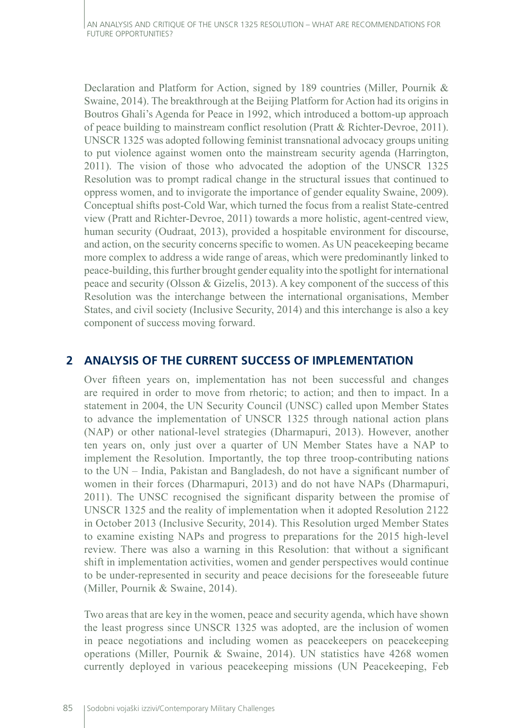Declaration and Platform for Action, signed by 189 countries (Miller, Pournik & Swaine, 2014). The breakthrough at the Beijing Platform for Action had its origins in Boutros Ghali's Agenda for Peace in 1992, which introduced a bottom-up approach of peace building to mainstream conflict resolution (Pratt & Richter-Devroe, 2011). UNSCR 1325 was adopted following feminist transnational advocacy groups uniting to put violence against women onto the mainstream security agenda (Harrington, 2011). The vision of those who advocated the adoption of the UNSCR 1325 Resolution was to prompt radical change in the structural issues that continued to oppress women, and to invigorate the importance of gender equality Swaine, 2009). Conceptual shifts post-Cold War, which turned the focus from a realist State-centred view (Pratt and Richter-Devroe, 2011) towards a more holistic, agent-centred view, human security (Oudraat, 2013), provided a hospitable environment for discourse, and action, on the security concerns specific to women. As UN peacekeeping became more complex to address a wide range of areas, which were predominantly linked to peace-building, this further brought gender equality into the spotlight for international peace and security (Olsson & Gizelis, 2013). A key component of the success of this Resolution was the interchange between the international organisations, Member States, and civil society (Inclusive Security, 2014) and this interchange is also a key component of success moving forward.

# **2 ANALYSIS OF THE CURRENT SUCCESS OF IMPLEMENTATION**

Over fifteen years on, implementation has not been successful and changes are required in order to move from rhetoric; to action; and then to impact. In a statement in 2004, the UN Security Council (UNSC) called upon Member States to advance the implementation of UNSCR 1325 through national action plans (NAP) or other national-level strategies (Dharmapuri, 2013). However, another ten years on, only just over a quarter of UN Member States have a NAP to implement the Resolution. Importantly, the top three troop-contributing nations to the UN – India, Pakistan and Bangladesh, do not have a significant number of women in their forces (Dharmapuri, 2013) and do not have NAPs (Dharmapuri, 2011). The UNSC recognised the significant disparity between the promise of UNSCR 1325 and the reality of implementation when it adopted Resolution 2122 in October 2013 (Inclusive Security, 2014). This Resolution urged Member States to examine existing NAPs and progress to preparations for the 2015 high-level review. There was also a warning in this Resolution: that without a significant shift in implementation activities, women and gender perspectives would continue to be under-represented in security and peace decisions for the foreseeable future (Miller, Pournik & Swaine, 2014).

Two areas that are key in the women, peace and security agenda, which have shown the least progress since UNSCR 1325 was adopted, are the inclusion of women in peace negotiations and including women as peacekeepers on peacekeeping operations (Miller, Pournik & Swaine, 2014). UN statistics have 4268 women currently deployed in various peacekeeping missions (UN Peacekeeping, Feb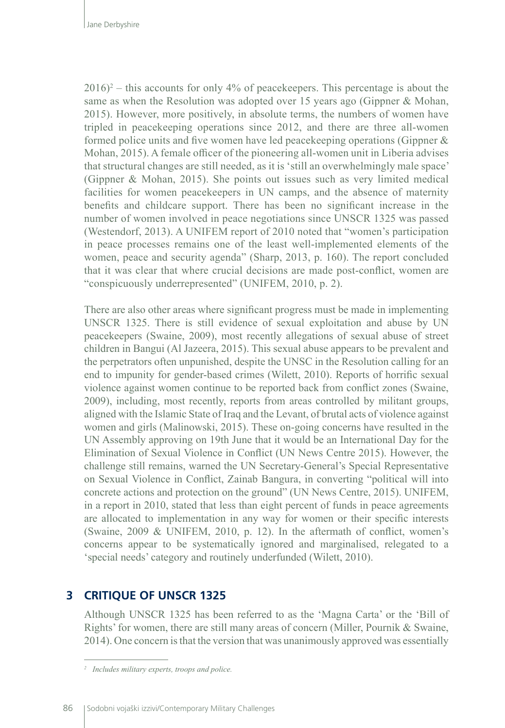$2016$ <sup>2</sup> – this accounts for only 4% of peacekeepers. This percentage is about the same as when the Resolution was adopted over 15 years ago (Gippner & Mohan, 2015). However, more positively, in absolute terms, the numbers of women have tripled in peacekeeping operations since 2012, and there are three all-women formed police units and five women have led peacekeeping operations (Gippner & Mohan, 2015). A female officer of the pioneering all-women unit in Liberia advises that structural changes are still needed, as it is 'still an overwhelmingly male space' (Gippner & Mohan, 2015). She points out issues such as very limited medical facilities for women peacekeepers in UN camps, and the absence of maternity benefits and childcare support. There has been no significant increase in the number of women involved in peace negotiations since UNSCR 1325 was passed (Westendorf, 2013). A UNIFEM report of 2010 noted that "women's participation in peace processes remains one of the least well-implemented elements of the women, peace and security agenda" (Sharp, 2013, p. 160). The report concluded that it was clear that where crucial decisions are made post-conflict, women are "conspicuously underrepresented" (UNIFEM, 2010, p. 2).

There are also other areas where significant progress must be made in implementing UNSCR 1325. There is still evidence of sexual exploitation and abuse by UN peacekeepers (Swaine, 2009), most recently allegations of sexual abuse of street children in Bangui (Al Jazeera, 2015). This sexual abuse appears to be prevalent and the perpetrators often unpunished, despite the UNSC in the Resolution calling for an end to impunity for gender-based crimes (Wilett, 2010). Reports of horrific sexual violence against women continue to be reported back from conflict zones (Swaine, 2009), including, most recently, reports from areas controlled by militant groups, aligned with the Islamic State of Iraq and the Levant, of brutal acts of violence against women and girls (Malinowski, 2015). These on-going concerns have resulted in the UN Assembly approving on 19th June that it would be an International Day for the Elimination of Sexual Violence in Conflict (UN News Centre 2015). However, the challenge still remains, warned the UN Secretary-General's Special Representative on Sexual Violence in Conflict, Zainab Bangura, in converting "political will into concrete actions and protection on the ground" (UN News Centre, 2015). UNIFEM, in a report in 2010, stated that less than eight percent of funds in peace agreements are allocated to implementation in any way for women or their specific interests (Swaine, 2009 & UNIFEM, 2010, p. 12). In the aftermath of conflict, women's concerns appear to be systematically ignored and marginalised, relegated to a 'special needs' category and routinely underfunded (Wilett, 2010).

# **3 CRITIQUE OF UNSCR 1325**

Although UNSCR 1325 has been referred to as the 'Magna Carta' or the 'Bill of Rights' for women, there are still many areas of concern (Miller, Pournik & Swaine, 2014). One concern is that the version that was unanimously approved was essentially

*<sup>2</sup> Includes military experts, troops and police.*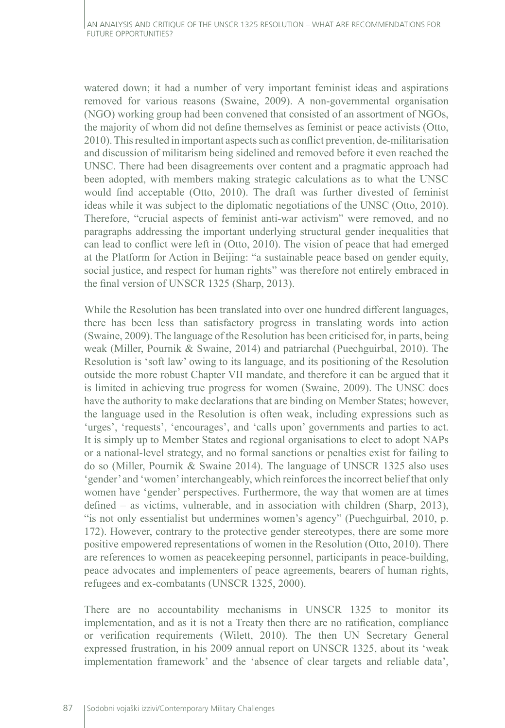watered down; it had a number of very important feminist ideas and aspirations removed for various reasons (Swaine, 2009). A non-governmental organisation (NGO) working group had been convened that consisted of an assortment of NGOs, the majority of whom did not define themselves as feminist or peace activists (Otto, 2010). This resulted in important aspects such as conflict prevention, de-militarisation and discussion of militarism being sidelined and removed before it even reached the UNSC. There had been disagreements over content and a pragmatic approach had been adopted, with members making strategic calculations as to what the UNSC would find acceptable (Otto, 2010). The draft was further divested of feminist ideas while it was subject to the diplomatic negotiations of the UNSC (Otto, 2010). Therefore, "crucial aspects of feminist anti-war activism" were removed, and no paragraphs addressing the important underlying structural gender inequalities that can lead to conflict were left in (Otto, 2010). The vision of peace that had emerged at the Platform for Action in Beijing: "a sustainable peace based on gender equity, social justice, and respect for human rights" was therefore not entirely embraced in the final version of UNSCR 1325 (Sharp, 2013).

While the Resolution has been translated into over one hundred different languages, there has been less than satisfactory progress in translating words into action (Swaine, 2009). The language of the Resolution has been criticised for, in parts, being weak (Miller, Pournik & Swaine, 2014) and patriarchal (Puechguirbal, 2010). The Resolution is 'soft law' owing to its language, and its positioning of the Resolution outside the more robust Chapter VII mandate, and therefore it can be argued that it is limited in achieving true progress for women (Swaine, 2009). The UNSC does have the authority to make declarations that are binding on Member States; however, the language used in the Resolution is often weak, including expressions such as 'urges', 'requests', 'encourages', and 'calls upon' governments and parties to act. It is simply up to Member States and regional organisations to elect to adopt NAPs or a national-level strategy, and no formal sanctions or penalties exist for failing to do so (Miller, Pournik & Swaine 2014). The language of UNSCR 1325 also uses 'gender' and 'women' interchangeably, which reinforces the incorrect belief that only women have 'gender' perspectives. Furthermore, the way that women are at times defined – as victims, vulnerable, and in association with children (Sharp, 2013), "is not only essentialist but undermines women's agency" (Puechguirbal, 2010, p. 172). However, contrary to the protective gender stereotypes, there are some more positive empowered representations of women in the Resolution (Otto, 2010). There are references to women as peacekeeping personnel, participants in peace-building, peace advocates and implementers of peace agreements, bearers of human rights, refugees and ex-combatants (UNSCR 1325, 2000).

There are no accountability mechanisms in UNSCR 1325 to monitor its implementation, and as it is not a Treaty then there are no ratification, compliance or verification requirements (Wilett, 2010). The then UN Secretary General expressed frustration, in his 2009 annual report on UNSCR 1325, about its 'weak implementation framework' and the 'absence of clear targets and reliable data',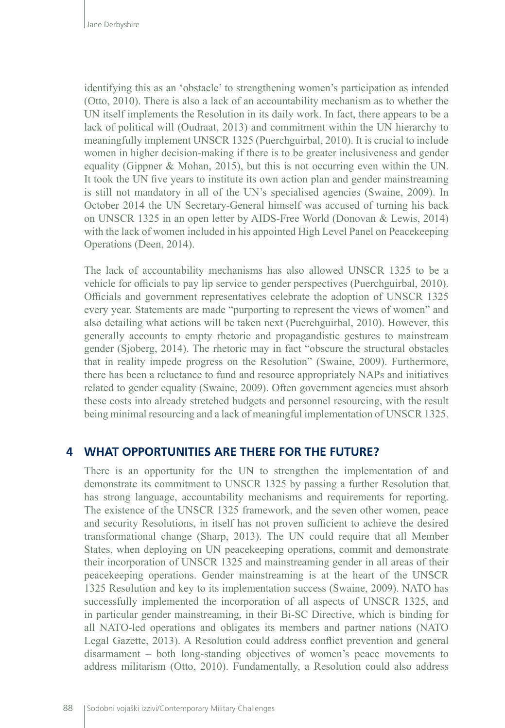identifying this as an 'obstacle' to strengthening women's participation as intended (Otto, 2010). There is also a lack of an accountability mechanism as to whether the UN itself implements the Resolution in its daily work. In fact, there appears to be a lack of political will (Oudraat, 2013) and commitment within the UN hierarchy to meaningfully implement UNSCR 1325 (Puerchguirbal, 2010). It is crucial to include women in higher decision-making if there is to be greater inclusiveness and gender equality (Gippner & Mohan, 2015), but this is not occurring even within the UN. It took the UN five years to institute its own action plan and gender mainstreaming is still not mandatory in all of the UN's specialised agencies (Swaine, 2009). In October 2014 the UN Secretary-General himself was accused of turning his back on UNSCR 1325 in an open letter by AIDS-Free World (Donovan & Lewis, 2014) with the lack of women included in his appointed High Level Panel on Peacekeeping Operations (Deen, 2014).

The lack of accountability mechanisms has also allowed UNSCR 1325 to be a vehicle for officials to pay lip service to gender perspectives (Puerchguirbal, 2010). Officials and government representatives celebrate the adoption of UNSCR 1325 every year. Statements are made "purporting to represent the views of women" and also detailing what actions will be taken next (Puerchguirbal, 2010). However, this generally accounts to empty rhetoric and propagandistic gestures to mainstream gender (Sjoberg, 2014). The rhetoric may in fact "obscure the structural obstacles that in reality impede progress on the Resolution" (Swaine, 2009). Furthermore, there has been a reluctance to fund and resource appropriately NAPs and initiatives related to gender equality (Swaine, 2009). Often government agencies must absorb these costs into already stretched budgets and personnel resourcing, with the result being minimal resourcing and a lack of meaningful implementation of UNSCR 1325.

### **4 WHAT OPPORTUNITIES ARE THERE FOR THE FUTURE?**

There is an opportunity for the UN to strengthen the implementation of and demonstrate its commitment to UNSCR 1325 by passing a further Resolution that has strong language, accountability mechanisms and requirements for reporting. The existence of the UNSCR 1325 framework, and the seven other women, peace and security Resolutions, in itself has not proven sufficient to achieve the desired transformational change (Sharp, 2013). The UN could require that all Member States, when deploying on UN peacekeeping operations, commit and demonstrate their incorporation of UNSCR 1325 and mainstreaming gender in all areas of their peacekeeping operations. Gender mainstreaming is at the heart of the UNSCR 1325 Resolution and key to its implementation success (Swaine, 2009). NATO has successfully implemented the incorporation of all aspects of UNSCR 1325, and in particular gender mainstreaming, in their Bi-SC Directive, which is binding for all NATO-led operations and obligates its members and partner nations (NATO Legal Gazette, 2013). A Resolution could address conflict prevention and general disarmament – both long-standing objectives of women's peace movements to address militarism (Otto, 2010). Fundamentally, a Resolution could also address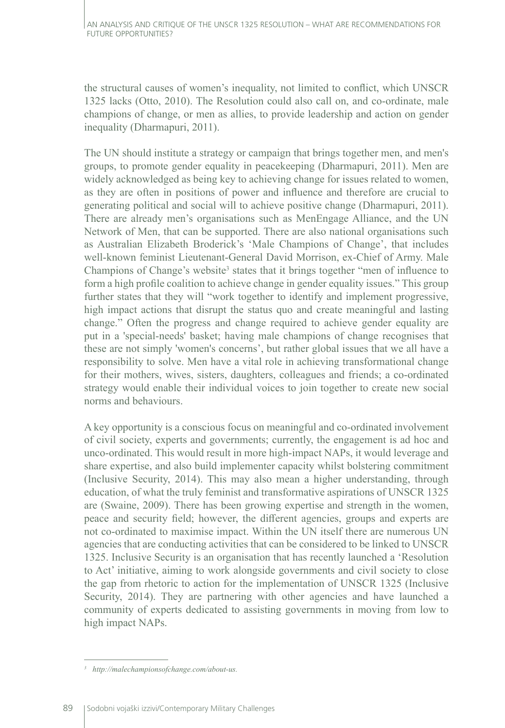the structural causes of women's inequality, not limited to conflict, which UNSCR 1325 lacks (Otto, 2010). The Resolution could also call on, and co-ordinate, male champions of change, or men as allies, to provide leadership and action on gender inequality (Dharmapuri, 2011).

The UN should institute a strategy or campaign that brings together men, and men's groups, to promote gender equality in peacekeeping (Dharmapuri, 2011). Men are widely acknowledged as being key to achieving change for issues related to women, as they are often in positions of power and influence and therefore are crucial to generating political and social will to achieve positive change (Dharmapuri, 2011). There are already men's organisations such as MenEngage Alliance, and the UN Network of Men, that can be supported. There are also national organisations such as Australian Elizabeth Broderick's 'Male Champions of Change', that includes well-known feminist Lieutenant-General David Morrison, ex-Chief of Army. Male Champions of Change's website<sup>3</sup> states that it brings together "men of influence to form a high profile coalition to achieve change in gender equality issues." This group further states that they will "work together to identify and implement progressive, high impact actions that disrupt the status quo and create meaningful and lasting change." Often the progress and change required to achieve gender equality are put in a 'special-needs' basket; having male champions of change recognises that these are not simply 'women's concerns', but rather global issues that we all have a responsibility to solve. Men have a vital role in achieving transformational change for their mothers, wives, sisters, daughters, colleagues and friends; a co-ordinated strategy would enable their individual voices to join together to create new social norms and behaviours.

A key opportunity is a conscious focus on meaningful and co-ordinated involvement of civil society, experts and governments; currently, the engagement is ad hoc and unco-ordinated. This would result in more high-impact NAPs, it would leverage and share expertise, and also build implementer capacity whilst bolstering commitment (Inclusive Security, 2014). This may also mean a higher understanding, through education, of what the truly feminist and transformative aspirations of UNSCR 1325 are (Swaine, 2009). There has been growing expertise and strength in the women, peace and security field; however, the different agencies, groups and experts are not co-ordinated to maximise impact. Within the UN itself there are numerous UN agencies that are conducting activities that can be considered to be linked to UNSCR 1325. Inclusive Security is an organisation that has recently launched a 'Resolution to Act' initiative, aiming to work alongside governments and civil society to close the gap from rhetoric to action for the implementation of UNSCR 1325 (Inclusive Security, 2014). They are partnering with other agencies and have launched a community of experts dedicated to assisting governments in moving from low to high impact NAPs.

*<sup>3</sup> http://malechampionsofchange.com/about-us.*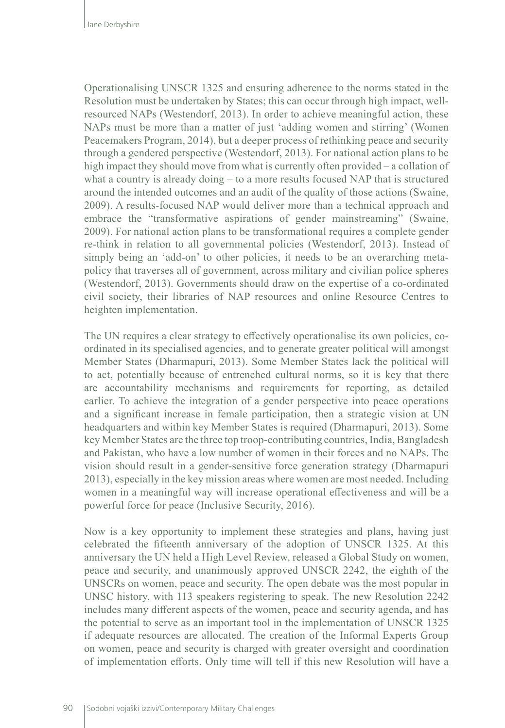Operationalising UNSCR 1325 and ensuring adherence to the norms stated in the Resolution must be undertaken by States; this can occur through high impact, wellresourced NAPs (Westendorf, 2013). In order to achieve meaningful action, these NAPs must be more than a matter of just 'adding women and stirring' (Women Peacemakers Program, 2014), but a deeper process of rethinking peace and security through a gendered perspective (Westendorf, 2013). For national action plans to be high impact they should move from what is currently often provided – a collation of what a country is already doing – to a more results focused NAP that is structured around the intended outcomes and an audit of the quality of those actions (Swaine, 2009). A results-focused NAP would deliver more than a technical approach and embrace the "transformative aspirations of gender mainstreaming" (Swaine, 2009). For national action plans to be transformational requires a complete gender re-think in relation to all governmental policies (Westendorf, 2013). Instead of simply being an 'add-on' to other policies, it needs to be an overarching metapolicy that traverses all of government, across military and civilian police spheres (Westendorf, 2013). Governments should draw on the expertise of a co-ordinated civil society, their libraries of NAP resources and online Resource Centres to heighten implementation.

The UN requires a clear strategy to effectively operationalise its own policies, coordinated in its specialised agencies, and to generate greater political will amongst Member States (Dharmapuri, 2013). Some Member States lack the political will to act, potentially because of entrenched cultural norms, so it is key that there are accountability mechanisms and requirements for reporting, as detailed earlier. To achieve the integration of a gender perspective into peace operations and a significant increase in female participation, then a strategic vision at UN headquarters and within key Member States is required (Dharmapuri, 2013). Some key Member States are the three top troop-contributing countries, India, Bangladesh and Pakistan, who have a low number of women in their forces and no NAPs. The vision should result in a gender-sensitive force generation strategy (Dharmapuri 2013), especially in the key mission areas where women are most needed. Including women in a meaningful way will increase operational effectiveness and will be a powerful force for peace (Inclusive Security, 2016).

Now is a key opportunity to implement these strategies and plans, having just celebrated the fifteenth anniversary of the adoption of UNSCR 1325. At this anniversary the UN held a High Level Review, released a Global Study on women, peace and security, and unanimously approved UNSCR 2242, the eighth of the UNSCRs on women, peace and security. The open debate was the most popular in UNSC history, with 113 speakers registering to speak. The new Resolution 2242 includes many different aspects of the women, peace and security agenda, and has the potential to serve as an important tool in the implementation of UNSCR 1325 if adequate resources are allocated. The creation of the Informal Experts Group on women, peace and security is charged with greater oversight and coordination of implementation efforts. Only time will tell if this new Resolution will have a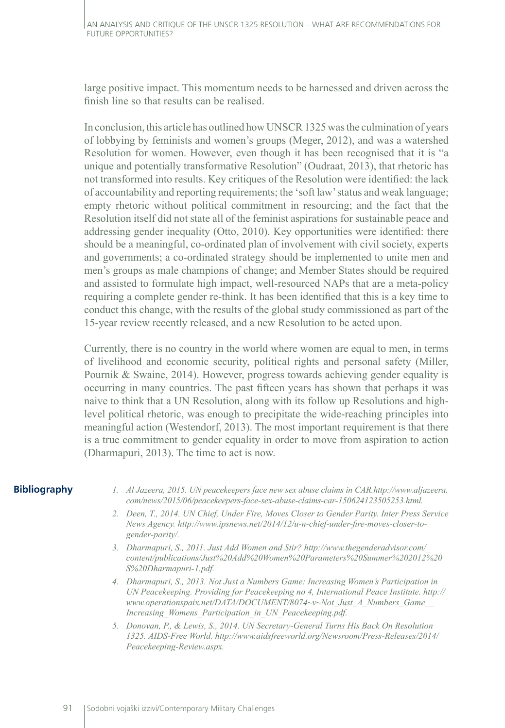large positive impact. This momentum needs to be harnessed and driven across the finish line so that results can be realised.

In conclusion, this article has outlined how UNSCR 1325 was the culmination of years of lobbying by feminists and women's groups (Meger, 2012), and was a watershed Resolution for women. However, even though it has been recognised that it is "a unique and potentially transformative Resolution" (Oudraat, 2013), that rhetoric has not transformed into results. Key critiques of the Resolution were identified: the lack of accountability and reporting requirements; the 'soft law' status and weak language; empty rhetoric without political commitment in resourcing; and the fact that the Resolution itself did not state all of the feminist aspirations for sustainable peace and addressing gender inequality (Otto, 2010). Key opportunities were identified: there should be a meaningful, co-ordinated plan of involvement with civil society, experts and governments; a co-ordinated strategy should be implemented to unite men and men's groups as male champions of change; and Member States should be required and assisted to formulate high impact, well-resourced NAPs that are a meta-policy requiring a complete gender re-think. It has been identified that this is a key time to conduct this change, with the results of the global study commissioned as part of the 15-year review recently released, and a new Resolution to be acted upon.

Currently, there is no country in the world where women are equal to men, in terms of livelihood and economic security, political rights and personal safety (Miller, Pournik & Swaine, 2014). However, progress towards achieving gender equality is occurring in many countries. The past fifteen years has shown that perhaps it was naive to think that a UN Resolution, along with its follow up Resolutions and highlevel political rhetoric, was enough to precipitate the wide-reaching principles into meaningful action (Westendorf, 2013). The most important requirement is that there is a true commitment to gender equality in order to move from aspiration to action (Dharmapuri, 2013). The time to act is now.

### **Bibliography**

- *1. Al Jazeera, 2015. UN peacekeepers face new sex abuse claims in CAR.http://www.aljazeera. com/news/2015/06/peacekeepers-face-sex-abuse-claims-car-150624123505253.html.*
- *2. Deen, T., 2014. UN Chief, Under Fire, Moves Closer to Gender Parity. Inter Press Service News Agency. http://www.ipsnews.net/2014/12/u-n-chief-under-fire-moves-closer-togender-parity/.*
- *3. Dharmapuri, S., 2011. Just Add Women and Stir? http://www.thegenderadvisor.com/\_ content/publications/Just%20Add%20Women%20Parameters%20Summer%202012%20 S%20Dharmapuri-1.pdf.*
- *4. Dharmapuri, S., 2013. Not Just a Numbers Game: Increasing Women's Participation in UN Peacekeeping. Providing for Peacekeeping no 4, International Peace Institute. http:// www.operationspaix.net/DATA/DOCUMENT/8074~v~Not\_Just\_A\_Numbers\_Game\_\_ Increasing\_Womens\_Participation\_in\_UN\_Peacekeeping.pdf.*
- *5. Donovan, P., & Lewis, S., 2014. UN Secretary-General Turns His Back On Resolution 1325. AIDS-Free World. http://www.aidsfreeworld.org/Newsroom/Press-Releases/2014/ Peacekeeping-Review.aspx.*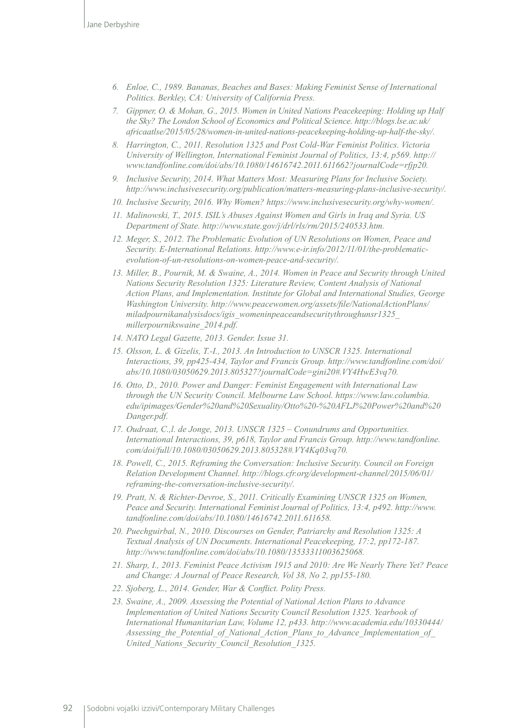- *6. Enloe, C., 1989. Bananas, Beaches and Bases: Making Feminist Sense of International Politics. Berkley, CA: University of California Press.*
- *7. Gippner, O. & Mohan, G., 2015. Women in United Nations Peacekeeping: Holding up Half the Sky? The London School of Economics and Political Science. http://blogs.lse.ac.uk/ africaatlse/2015/05/28/women-in-united-nations-peacekeeping-holding-up-half-the-sky/.*
- *8. Harrington, C., 2011. Resolution 1325 and Post Cold-War Feminist Politics. Victoria University of Wellington, International Feminist Journal of Politics, 13:4, p569. http:// www.tandfonline.com/doi/abs/10.1080/14616742.2011.611662?journalCode=rfjp20.*
- *9. Inclusive Security, 2014. What Matters Most: Measuring Plans for Inclusive Society. http://www.inclusivesecurity.org/publication/matters-measuring-plans-inclusive-security/.*
- *10. Inclusive Security, 2016. Why Women? https://www.inclusivesecurity.org/why-women/.*
- *11. Malinowski, T., 2015. ISIL's Abuses Against Women and Girls in Iraq and Syria. US Department of State. http://www.state.gov/j/drl/rls/rm/2015/240533.htm.*
- *12. Meger, S., 2012. The Problematic Evolution of UN Resolutions on Women, Peace and Security. E-International Relations. http://www.e-ir.info/2012/11/01/the-problematicevolution-of-un-resolutions-on-women-peace-and-security/.*
- *13. Miller, B., Pournik, M. & Swaine, A., 2014. Women in Peace and Security through United Nations Security Resolution 1325: Literature Review, Content Analysis of National Action Plans, and Implementation. Institute for Global and International Studies, George Washington University. http://www.peacewomen.org/assets/file/NationalActionPlans/ miladpournikanalysisdocs/igis\_womeninpeaceandsecuritythroughunsr1325\_ millerpournikswaine\_2014.pdf.*
- *14. NATO Legal Gazette, 2013. Gender. Issue 31.*
- *15. Olsson, L. & Gizelis, T.-I., 2013. An Introduction to UNSCR 1325. International Interactions, 39, pp425-434, Taylor and Francis Group. http://www.tandfonline.com/doi/ abs/10.1080/03050629.2013.805327?journalCode=gini20#.VY4HwE3vq70.*
- *16. Otto, D., 2010. Power and Danger: Feminist Engagement with International Law through the UN Security Council. Melbourne Law School. [https://www.law.columbia.](https://www.law.columbia.edu/ipimages/Gender%20and%20Sexuality/Otto%20-%20AFLJ%20Power%20and%20Danger.pdf) [edu/ipimages/Gender%20and%20Sexuality/Otto%20-%20AFLJ%20Power%20and%20](https://www.law.columbia.edu/ipimages/Gender%20and%20Sexuality/Otto%20-%20AFLJ%20Power%20and%20Danger.pdf) [Danger.pdf.](https://www.law.columbia.edu/ipimages/Gender%20and%20Sexuality/Otto%20-%20AFLJ%20Power%20and%20Danger.pdf)*
- *17. Oudraat, C.,l. de Jonge, 2013. UNSCR 1325 Conundrums and Opportunities. International Interactions, 39, p618, Taylor and Francis Group. http://www.tandfonline. com/doi/full/10.1080/03050629.2013.805328#.VY4Kq03vq70.*
- *18. Powell, C., 2015. Reframing the Conversation: Inclusive Security. Council on Foreign Relation Development Channel. http://blogs.cfr.org/development-channel/2015/06/01/ reframing-the-conversation-inclusive-security/.*
- *19. Pratt, N. & Richter-Devroe, S., 2011. Critically Examining UNSCR 1325 on Women, Peace and Security. International Feminist Journal of Politics, 13:4, p492. http://www. tandfonline.com/doi/abs/10.1080/14616742.2011.611658.*
- *20. Puechguirbal, N., 2010. Discourses on Gender, Patriarchy and Resolution 1325: A Textual Analysis of UN Documents. International Peacekeeping, 17:2, pp172-187. http://www.tandfonline.com/doi/abs/10.1080/13533311003625068.*
- *21. Sharp, I., 2013. Feminist Peace Activism 1915 and 2010: Are We Nearly There Yet? Peace and Change: A Journal of Peace Research, Vol 38, No 2, pp155-180.*
- *22. Sjoberg, L., 2014. Gender, War & Conflict. Polity Press.*
- *23. Swaine, A., 2009. Assessing the Potential of National Action Plans to Advance Implementation of United Nations Security Council Resolution 1325. Yearbook of International Humanitarian Law, Volume 12, p433. http://www.academia.edu/10330444/ Assessing\_the\_Potential\_of\_National\_Action\_Plans\_to\_Advance\_Implementation\_of\_ United\_Nations\_Security\_Council\_Resolution\_1325.*